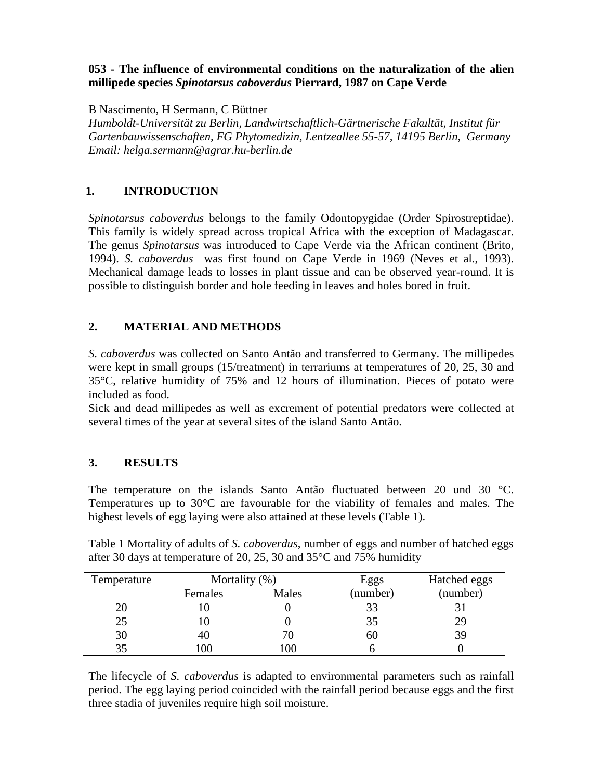#### **053 - The influence of environmental conditions on the naturalization of the alien millipede species** *Spinotarsus caboverdus* **Pierrard, 1987 on Cape Verde**

B Nascimento, H Sermann, C Büttner

*Humboldt-Universität zu Berlin, Landwirtschaftlich-Gärtnerische Fakultät, Institut für Gartenbauwissenschaften, FG Phytomedizin, Lentzeallee 55-57, 14195 Berlin, Germany Email: helga.sermann@agrar.hu-berlin.de*

## **1. INTRODUCTION**

*Spinotarsus caboverdus* belongs to the family Odontopygidae (Order Spirostreptidae). This family is widely spread across tropical Africa with the exception of Madagascar. The genus *Spinotarsus* was introduced to Cape Verde via the African continent (Brito, 1994). *S. caboverdus* was first found on Cape Verde in 1969 (Neves et al., 1993). Mechanical damage leads to losses in plant tissue and can be observed year-round. It is possible to distinguish border and hole feeding in leaves and holes bored in fruit.

## **2. MATERIAL AND METHODS**

*S. caboverdus* was collected on Santo Antão and transferred to Germany. The millipedes were kept in small groups (15/treatment) in terrariums at temperatures of 20, 25, 30 and 35°C, relative humidity of 75% and 12 hours of illumination. Pieces of potato were included as food.

Sick and dead millipedes as well as excrement of potential predators were collected at several times of the year at several sites of the island Santo Antão.

# **3. RESULTS**

The temperature on the islands Santo Antão fluctuated between 20 und 30 °C. Temperatures up to 30°C are favourable for the viability of females and males. The highest levels of egg laying were also attained at these levels (Table 1).

| Temperature | Mortality (%) |       | Eggs     | Hatched eggs |
|-------------|---------------|-------|----------|--------------|
|             | Females       | Males | (number) | (number)     |
| 20          |               |       |          |              |
| 25          |               |       | 35       | 29           |
| 30          | 4U            |       | 60       | 39           |
| 35          | 100           | 00    |          |              |

Table 1 Mortality of adults of *S. caboverdus*, number of eggs and number of hatched eggs after 30 days at temperature of 20, 25, 30 and 35°C and 75% humidity

The lifecycle of *S. caboverdus* is adapted to environmental parameters such as rainfall period. The egg laying period coincided with the rainfall period because eggs and the first three stadia of juveniles require high soil moisture.